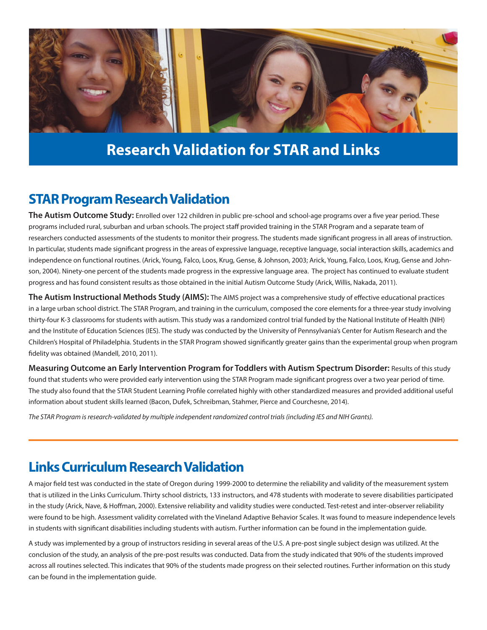

## **Research Validation for STAR and Links**

#### **STAR Program Research Validation**

**The Autism Outcome Study:** Enrolled over 122 children in public pre-school and school-age programs over a five year period. These programs included rural, suburban and urban schools. The project staff provided training in the STAR Program and a separate team of researchers conducted assessments of the students to monitor their progress. The students made significant progress in all areas of instruction. In particular, students made significant progress in the areas of expressive language, receptive language, social interaction skills, academics and independence on functional routines. (Arick, Young, Falco, Loos, Krug, Gense, & Johnson, 2003; Arick, Young, Falco, Loos, Krug, Gense and Johnson, 2004). Ninety-one percent of the students made progress in the expressive language area. The project has continued to evaluate student progress and has found consistent results as those obtained in the initial Autism Outcome Study (Arick, Willis, Nakada, 2011).

**The Autism Instructional Methods Study (AIMS):** The AIMS project was a comprehensive study of effective educational practices in a large urban school district. The STAR Program, and training in the curriculum, composed the core elements for a three-year study involving thirty-four K-3 classrooms for students with autism. This study was a randomized control trial funded by the National Institute of Health (NIH) and the Institute of Education Sciences (IES). The study was conducted by the University of Pennsylvania's Center for Autism Research and the Children's Hospital of Philadelphia. Students in the STAR Program showed significantly greater gains than the experimental group when program fidelity was obtained (Mandell, 2010, 2011).

**Measuring Outcome an Early Intervention Program for Toddlers with Autism Spectrum Disorder:** Results of this study found that students who were provided early intervention using the STAR Program made significant progress over a two year period of time. The study also found that the STAR Student Learning Profile correlated highly with other standardized measures and provided additional useful information about student skills learned (Bacon, Dufek, Schreibman, Stahmer, Pierce and Courchesne, 2014).

*The STAR Program is research-validated by multiple independent randomized control trials (including IES and NIH Grants).* 

### **Links Curriculum Research Validation**

A major field test was conducted in the state of Oregon during 1999-2000 to determine the reliability and validity of the measurement system that is utilized in the Links Curriculum. Thirty school districts, 133 instructors, and 478 students with moderate to severe disabilities participated in the study (Arick, Nave, & Hoffman, 2000). Extensive reliability and validity studies were conducted. Test-retest and inter-observer reliability were found to be high. Assessment validity correlated with the Vineland Adaptive Behavior Scales. It was found to measure independence levels in students with significant disabilities including students with autism. Further information can be found in the implementation guide.

A study was implemented by a group of instructors residing in several areas of the U.S. A pre-post single subject design was utilized. At the conclusion of the study, an analysis of the pre-post results was conducted. Data from the study indicated that 90% of the students improved across all routines selected. This indicates that 90% of the students made progress on their selected routines. Further information on this study can be found in the implementation guide.